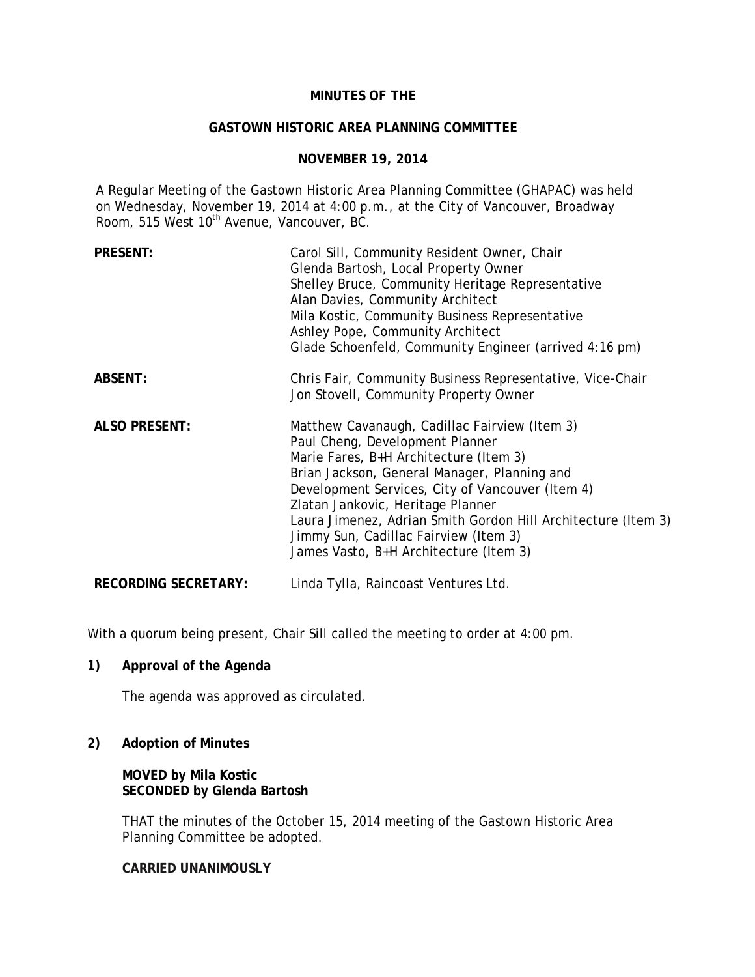# **MINUTES OF THE**

#### **GASTOWN HISTORIC AREA PLANNING COMMITTEE**

### **NOVEMBER 19, 2014**

A Regular Meeting of the Gastown Historic Area Planning Committee (GHAPAC) was held on Wednesday, November 19, 2014 at 4:00 p.m., at the City of Vancouver, Broadway Room, 515 West 10<sup>th</sup> Avenue, Vancouver, BC.

| <b>PRESENT:</b>             | Carol Sill, Community Resident Owner, Chair<br>Glenda Bartosh, Local Property Owner<br>Shelley Bruce, Community Heritage Representative<br>Alan Davies, Community Architect<br>Mila Kostic, Community Business Representative<br>Ashley Pope, Community Architect<br>Glade Schoenfeld, Community Engineer (arrived 4:16 pm)                                                                                             |
|-----------------------------|-------------------------------------------------------------------------------------------------------------------------------------------------------------------------------------------------------------------------------------------------------------------------------------------------------------------------------------------------------------------------------------------------------------------------|
| <b>ABSENT:</b>              | Chris Fair, Community Business Representative, Vice-Chair<br>Jon Stovell, Community Property Owner                                                                                                                                                                                                                                                                                                                      |
| <b>ALSO PRESENT:</b>        | Matthew Cavanaugh, Cadillac Fairview (Item 3)<br>Paul Cheng, Development Planner<br>Marie Fares, B+H Architecture (Item 3)<br>Brian Jackson, General Manager, Planning and<br>Development Services, City of Vancouver (Item 4)<br>Zlatan Jankovic, Heritage Planner<br>Laura Jimenez, Adrian Smith Gordon Hill Architecture (Item 3)<br>Jimmy Sun, Cadillac Fairview (Item 3)<br>James Vasto, B+H Architecture (Item 3) |
| <b>RECORDING SECRETARY:</b> | Linda Tylla, Raincoast Ventures Ltd.                                                                                                                                                                                                                                                                                                                                                                                    |

With a quorum being present, Chair Sill called the meeting to order at 4:00 pm.

### **1) Approval of the Agenda**

The agenda was approved as circulated.

### **2) Adoption of Minutes**

**MOVED by Mila Kostic SECONDED by Glenda Bartosh** 

THAT the minutes of the October 15, 2014 meeting of the Gastown Historic Area Planning Committee be adopted.

**CARRIED UNANIMOUSLY**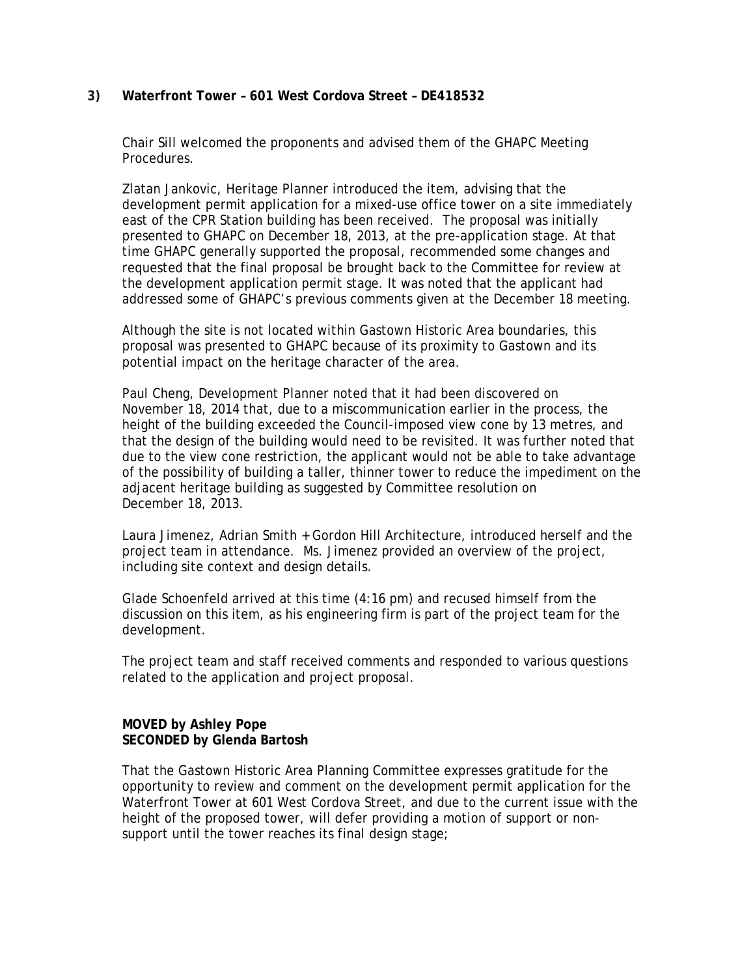# **3) Waterfront Tower – 601 West Cordova Street – DE418532**

Chair Sill welcomed the proponents and advised them of the GHAPC Meeting Procedures.

Zlatan Jankovic, Heritage Planner introduced the item, advising that the development permit application for a mixed-use office tower on a site immediately east of the CPR Station building has been received. The proposal was initially presented to GHAPC on December 18, 2013, at the pre-application stage. At that time GHAPC generally supported the proposal, recommended some changes and requested that the final proposal be brought back to the Committee for review at the development application permit stage. It was noted that the applicant had addressed some of GHAPC's previous comments given at the December 18 meeting.

Although the site is not located within Gastown Historic Area boundaries, this proposal was presented to GHAPC because of its proximity to Gastown and its potential impact on the heritage character of the area.

Paul Cheng, Development Planner noted that it had been discovered on November 18, 2014 that, due to a miscommunication earlier in the process, the height of the building exceeded the Council-imposed view cone by 13 metres, and that the design of the building would need to be revisited. It was further noted that due to the view cone restriction, the applicant would not be able to take advantage of the possibility of building a taller, thinner tower to reduce the impediment on the adjacent heritage building as suggested by Committee resolution on December 18, 2013.

Laura Jimenez, Adrian Smith + Gordon Hill Architecture, introduced herself and the project team in attendance. Ms. Jimenez provided an overview of the project, including site context and design details.

Glade Schoenfeld arrived at this time (4:16 pm) and recused himself from the discussion on this item, as his engineering firm is part of the project team for the development.

The project team and staff received comments and responded to various questions related to the application and project proposal.

### **MOVED by Ashley Pope SECONDED by Glenda Bartosh**

That the Gastown Historic Area Planning Committee expresses gratitude for the opportunity to review and comment on the development permit application for the Waterfront Tower at 601 West Cordova Street, and due to the current issue with the height of the proposed tower, will defer providing a motion of support or nonsupport until the tower reaches its final design stage;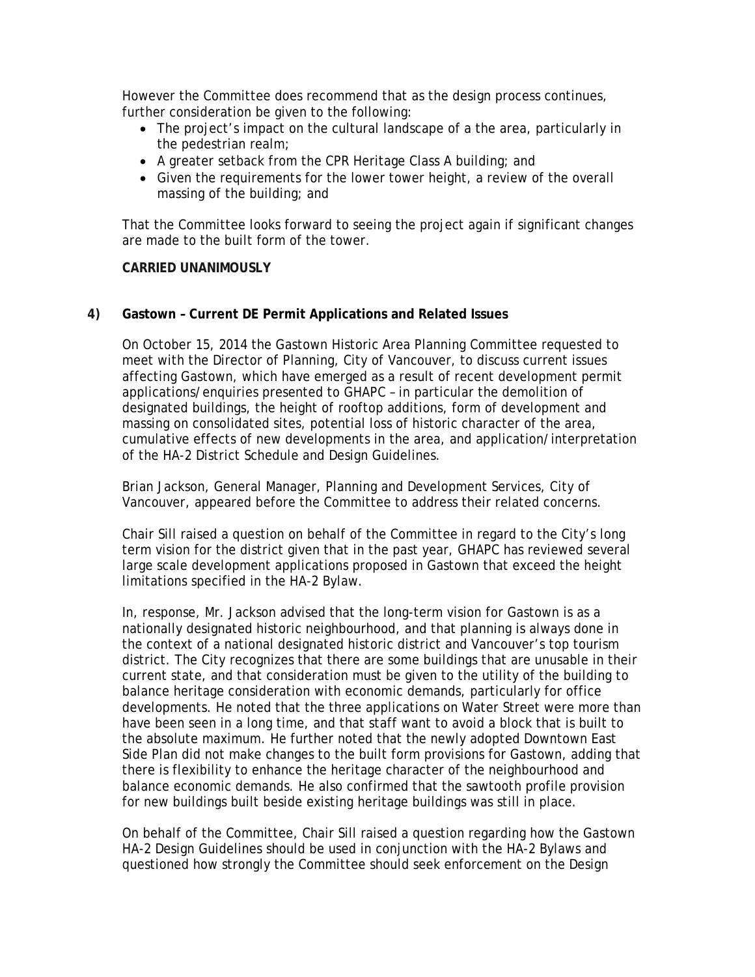However the Committee does recommend that as the design process continues, further consideration be given to the following:

- The project's impact on the cultural landscape of a the area, particularly in the pedestrian realm;
- A greater setback from the CPR Heritage Class A building; and
- Given the requirements for the lower tower height, a review of the overall massing of the building; and

That the Committee looks forward to seeing the project again if significant changes are made to the built form of the tower.

**CARRIED UNANIMOUSLY** 

# **4) Gastown – Current DE Permit Applications and Related Issues**

On October 15, 2014 the Gastown Historic Area Planning Committee requested to meet with the Director of Planning, City of Vancouver, to discuss current issues affecting Gastown, which have emerged as a result of recent development permit applications/enquiries presented to GHAPC – in particular the demolition of designated buildings, the height of rooftop additions, form of development and massing on consolidated sites, potential loss of historic character of the area, cumulative effects of new developments in the area, and application/interpretation of the HA-2 District Schedule and Design Guidelines.

Brian Jackson, General Manager, Planning and Development Services, City of Vancouver, appeared before the Committee to address their related concerns.

Chair Sill raised a question on behalf of the Committee in regard to the City's long term vision for the district given that in the past year, GHAPC has reviewed several large scale development applications proposed in Gastown that exceed the height limitations specified in the HA-2 Bylaw.

In, response, Mr. Jackson advised that the long-term vision for Gastown is as a nationally designated historic neighbourhood, and that planning is always done in the context of a national designated historic district and Vancouver's top tourism district. The City recognizes that there are some buildings that are unusable in their current state, and that consideration must be given to the utility of the building to balance heritage consideration with economic demands, particularly for office developments. He noted that the three applications on Water Street were more than have been seen in a long time, and that staff want to avoid a block that is built to the absolute maximum. He further noted that the newly adopted Downtown East Side Plan did not make changes to the built form provisions for Gastown, adding that there is flexibility to enhance the heritage character of the neighbourhood and balance economic demands. He also confirmed that the sawtooth profile provision for new buildings built beside existing heritage buildings was still in place.

On behalf of the Committee, Chair Sill raised a question regarding how the Gastown HA-2 Design Guidelines should be used in conjunction with the HA-2 Bylaws and questioned how strongly the Committee should seek enforcement on the Design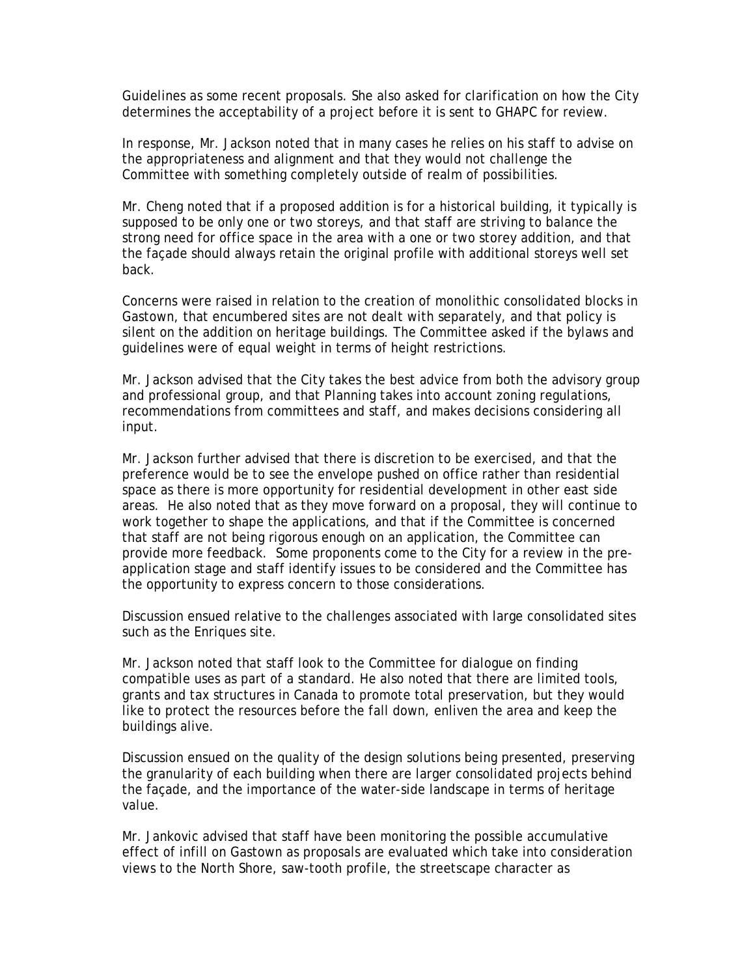Guidelines as some recent proposals. She also asked for clarification on how the City determines the acceptability of a project before it is sent to GHAPC for review.

In response, Mr. Jackson noted that in many cases he relies on his staff to advise on the appropriateness and alignment and that they would not challenge the Committee with something completely outside of realm of possibilities.

Mr. Cheng noted that if a proposed addition is for a historical building, it typically is supposed to be only one or two storeys, and that staff are striving to balance the strong need for office space in the area with a one or two storey addition, and that the façade should always retain the original profile with additional storeys well set back.

Concerns were raised in relation to the creation of monolithic consolidated blocks in Gastown, that encumbered sites are not dealt with separately, and that policy is silent on the addition on heritage buildings. The Committee asked if the bylaws and guidelines were of equal weight in terms of height restrictions.

Mr. Jackson advised that the City takes the best advice from both the advisory group and professional group, and that Planning takes into account zoning regulations, recommendations from committees and staff, and makes decisions considering all input.

Mr. Jackson further advised that there is discretion to be exercised, and that the preference would be to see the envelope pushed on office rather than residential space as there is more opportunity for residential development in other east side areas. He also noted that as they move forward on a proposal, they will continue to work together to shape the applications, and that if the Committee is concerned that staff are not being rigorous enough on an application, the Committee can provide more feedback. Some proponents come to the City for a review in the preapplication stage and staff identify issues to be considered and the Committee has the opportunity to express concern to those considerations.

Discussion ensued relative to the challenges associated with large consolidated sites such as the Enriques site.

Mr. Jackson noted that staff look to the Committee for dialogue on finding compatible uses as part of a standard. He also noted that there are limited tools, grants and tax structures in Canada to promote total preservation, but they would like to protect the resources before the fall down, enliven the area and keep the buildings alive.

Discussion ensued on the quality of the design solutions being presented, preserving the granularity of each building when there are larger consolidated projects behind the façade, and the importance of the water-side landscape in terms of heritage value.

Mr. Jankovic advised that staff have been monitoring the possible accumulative effect of infill on Gastown as proposals are evaluated which take into consideration views to the North Shore, saw-tooth profile, the streetscape character as